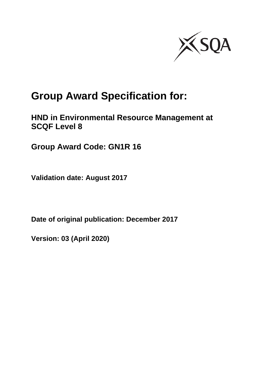

# **Group Award Specification for:**

### **HND in Environmental Resource Management at SCQF Level 8**

**Group Award Code: GN1R 16**

**Validation date: August 2017**

**Date of original publication: December 2017**

**Version: 03 (April 2020)**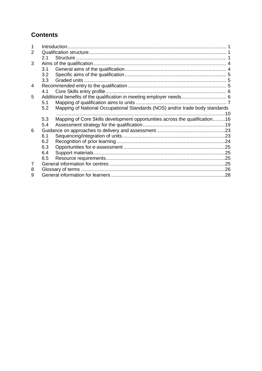### **Contents**

| 2 |     |                                                                              |  |
|---|-----|------------------------------------------------------------------------------|--|
|   | 2.1 |                                                                              |  |
| 3 |     |                                                                              |  |
|   | 3.1 |                                                                              |  |
|   | 3.2 |                                                                              |  |
|   | 3.3 |                                                                              |  |
| 4 |     |                                                                              |  |
|   | 4.1 |                                                                              |  |
| 5 |     |                                                                              |  |
|   | 5.1 |                                                                              |  |
|   | 5.2 | Mapping of National Occupational Standards (NOS) and/or trade body standards |  |
|   |     |                                                                              |  |
|   | 5.3 | Mapping of Core Skills development opportunities across the qualification16  |  |
|   | 5.4 |                                                                              |  |
| 6 |     |                                                                              |  |
|   | 6.1 |                                                                              |  |
|   | 6.2 |                                                                              |  |
|   | 6.3 |                                                                              |  |
|   | 6.4 |                                                                              |  |
|   | 6.5 |                                                                              |  |
| 7 |     |                                                                              |  |
| 8 |     |                                                                              |  |
| 9 |     |                                                                              |  |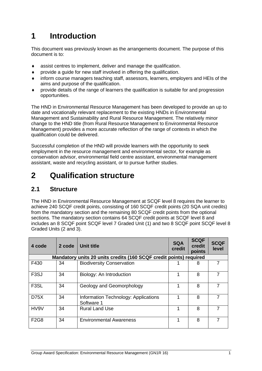# <span id="page-2-0"></span>**1 Introduction**

This document was previously known as the arrangements document. The purpose of this document is to:

- assist centres to implement, deliver and manage the qualification.
- provide a guide for new staff involved in offering the qualification.
- inform course managers teaching staff, assessors, learners, employers and HEIs of the aims and purpose of the qualification.
- provide details of the range of learners the qualification is suitable for and progression opportunities.

The HND in Environmental Resource Management has been developed to provide an up to date and vocationally relevant replacement to the existing HNDs in Environmental Management and Sustainability and Rural Resource Management. The relatively minor change to the HND title (from Rural Resource Management to Environmental Resource Management) provides a more accurate reflection of the range of contexts in which the qualification could be delivered.

Successful completion of the HND will provide learners with the opportunity to seek employment in the resource management and environmental sector, for example as conservation advisor, environmental field centre assistant, environmental management assistant, waste and recycling assistant, or to pursue further studies.

### <span id="page-2-1"></span>**2 Qualification structure**

#### <span id="page-2-2"></span>**2.1 Structure**

The HND in Environmental Resource Management at SCQF level 8 requires the learner to achieve 240 SCQF credit points, consisting of 160 SCQF credit points (20 SQA unit credits) from the mandatory section and the remaining 80 SCQF credit points from the optional sections. The mandatory section contains 64 SCQF credit points at SCQF level 8 and includes an 8 SCQF point SCQF level 7 Graded Unit (1) and two 8 SCQF point SCQF level 8 Graded Units (2 and 3).

| 4 code            | 2 code | Unit title                                                         | <b>SQA</b><br>credit | <b>SCQF</b><br>credit<br>points | <b>SCQF</b><br>level |
|-------------------|--------|--------------------------------------------------------------------|----------------------|---------------------------------|----------------------|
|                   |        | Mandatory units 20 units credits (160 SCQF credit points) required |                      |                                 |                      |
| F430              | 34     | <b>Biodiversity Conservation</b>                                   |                      | 8                               |                      |
| F <sub>3</sub> SJ | 34     | Biology: An Introduction                                           | 1                    | 8                               |                      |
| F <sub>3</sub> SL | 34     | Geology and Geomorphology                                          |                      | 8                               |                      |
| D75X              | 34     | Information Technology: Applications<br>Software 1                 |                      | 8                               |                      |
| HV9V              | 34     | <b>Rural Land Use</b>                                              |                      | 8                               |                      |
| <b>F2G8</b>       | 34     | <b>Environmental Awareness</b>                                     |                      | 8                               |                      |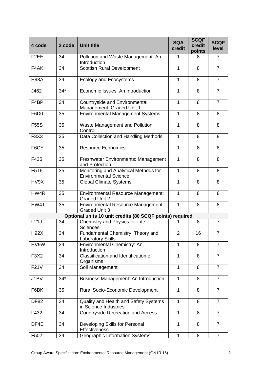| 4 code                        | 2 code | <b>Unit title</b>                                                     | <b>SQA</b><br>credit | <b>SCQF</b><br>credit<br>points | <b>SCQF</b><br>level |
|-------------------------------|--------|-----------------------------------------------------------------------|----------------------|---------------------------------|----------------------|
| F <sub>2</sub> EE             | 34     | Pollution and Waste Management: An<br>Introduction                    | 1                    | 8                               | $\overline{7}$       |
| F4AK                          | 34     | <b>Scottish Rural Development</b>                                     | 1                    | 8                               | $\overline{7}$       |
| <b>H93A</b>                   | 34     | <b>Ecology and Ecosystems</b>                                         | $\mathbf{1}$         | 8                               | $\overline{7}$       |
| J462                          | $34*$  | Economic Issues: An Introduction                                      | 1                    | 8                               | $\overline{7}$       |
| F4BP                          | 34     | Countryside and Environmental<br>Management: Graded Unit 1            | 1                    | 8                               | $\overline{7}$       |
| F6D <sub>0</sub>              | 35     | <b>Environmental Management Systems</b>                               | 1                    | 8                               | 8                    |
| <b>F55S</b>                   | 35     | Waste Management and Pollution<br>Control                             | $\mathbf{1}$         | 8                               | 8                    |
| F3X3                          | 35     | Data Collection and Handling Methods                                  | 1                    | 8                               | 8                    |
| F6CY                          | 35     | <b>Resource Economics</b>                                             | 1                    | 8                               | 8                    |
| F435                          | 35     | <b>Freshwater Environments: Management</b><br>and Protection          | $\mathbf{1}$         | 8                               | 8                    |
| <b>F5T6</b>                   | 35     | Monitoring and Analytical Methods for<br><b>Environmental Science</b> | 1                    | 8                               | 8                    |
| HV9X                          | 35     | <b>Global Climate Systems</b>                                         | 1                    | 8                               | 8                    |
| HW4R                          | 35     | <b>Environmental Resource Management:</b><br><b>Graded Unit 2</b>     | $\mathbf{1}$         | 8                               | 8                    |
| HW4T                          | 35     | <b>Environmental Resource Management:</b><br><b>Graded Unit 3</b>     | $\mathbf{1}$         | 8                               | 8                    |
|                               |        | Optional units 10 unit credits (80 SCQF points) required              |                      |                                 |                      |
| F21J                          | 34     | Chemistry and Physics for Life<br><b>Sciences</b>                     | 1                    | 8                               | $\overline{7}$       |
| <b>H92X</b>                   | 34     | Fundamental Chemistry: Theory and<br><b>Laboratory Skills</b>         | $\overline{2}$       | 16                              | 7                    |
| HV9W                          | 34     | Environmental Chemistry: An<br>Introduction                           | $\mathbf{1}$         | 8                               | $\overline{7}$       |
| F <sub>3</sub> X <sub>2</sub> | 34     | Classification and Identification of<br>Organisms                     | $\mathbf{1}$         | 8                               | $\overline{7}$       |
| <b>F21V</b>                   | 34     | Soil Management                                                       | $\mathbf{1}$         | 8                               | $\overline{7}$       |
| J1BV                          | $34*$  | Business Management: An Introduction                                  | $\mathbf{1}$         | 8                               | $\overline{7}$       |
| F6BK                          | 35     | Rural Socio-Economic Development                                      | 1                    | 8                               | $\overline{7}$       |
| <b>DF82</b>                   | 34     | Quality and Health and Safety Systems<br>in Science Industries        | $\mathbf 1$          | 8                               | $\overline{7}$       |
| F432                          | 34     | <b>Countryside Recreation and Access</b>                              | $\mathbf{1}$         | 8                               | $\overline{7}$       |
| DF4E                          | 34     | Developing Skills for Personal<br>Effectiveness                       | 1                    | 8                               | $\overline{7}$       |
| F502                          | 34     | <b>Geographic Information Systems</b>                                 | 1                    | 8                               | $\overline{7}$       |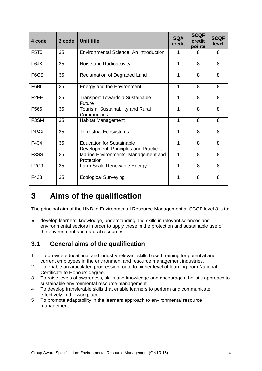| 4 code                        | 2 code | <b>Unit title</b>                                                         | <b>SQA</b><br>credit | <b>SCQF</b><br>credit<br>points | <b>SCQF</b><br>level |
|-------------------------------|--------|---------------------------------------------------------------------------|----------------------|---------------------------------|----------------------|
| <b>F5T5</b>                   | 35     | Environmental Science: An Introduction                                    | 1                    | 8                               | 8                    |
| F6JK                          | 35     | Noise and Radioactivity                                                   | 1                    | 8                               | 8                    |
| F6CS                          | 35     | Reclamation of Degraded Land                                              | 1                    | 8                               | 8                    |
| F6BL                          | 35     | Energy and the Environment                                                | $\mathbf 1$          | 8                               | 8                    |
| F <sub>2</sub> EH             | 35     | <b>Transport Towards a Sustainable</b><br>Future                          | 1                    | 8                               | 8                    |
| F566                          | 35     | Tourism: Sustainability and Rural<br>Communities                          | 1                    | 8                               | 8                    |
| F <sub>3</sub> SM             | 35     | <b>Habitat Management</b>                                                 | 1                    | 8                               | 8                    |
| DP4X                          | 35     | <b>Terrestrial Ecosystems</b>                                             | 1                    | 8                               | 8                    |
| F434                          | 35     | <b>Education for Sustainable</b><br>Development: Principles and Practices | 1                    | 8                               | 8                    |
| F <sub>3</sub> S <sub>S</sub> | 35     | Marine Environments: Management and<br>Protection                         | 1                    | 8                               | 8                    |
| F <sub>2</sub> G <sub>9</sub> | 35     | Farm Scale Renewable Energy                                               | 1                    | 8                               | 8                    |
| F433                          | 35     | <b>Ecological Surveying</b>                                               | 1                    | 8                               | 8                    |

### <span id="page-5-0"></span>**3 Aims of the qualification**

The principal aim of the HND in Environmental Resource Management at SCQF level 8 is to:

 develop learners' knowledge, understanding and skills in relevant sciences and environmental sectors in order to apply these in the protection and sustainable use of the environment and natural resources.

#### <span id="page-5-1"></span>**3.1 General aims of the qualification**

- 1 To provide educational and industry relevant skills based training for potential and current employees in the environment and resource management industries.
- 2 To enable an articulated progression route to higher level of learning from National Certificate to Honours degree.
- 3 To raise levels of awareness, skills and knowledge and encourage a holistic approach to sustainable environmental resource management.
- 4 To develop transferable skills that enable learners to perform and communicate effectively in the workplace.
- 5 To promote adaptability in the learners approach to environmental resource management.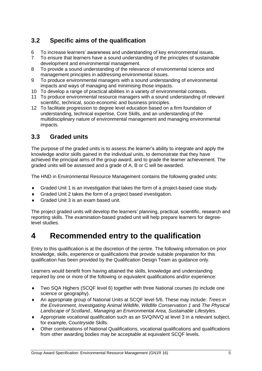### <span id="page-6-0"></span>**3.2 Specific aims of the qualification**

- 6 To increase learners' awareness and understanding of key environmental issues.
- 7 To ensure that learners have a sound understanding of the principles of sustainable development and environmental management.
- 8 To provide a sound understanding of the relevance of environmental science and management principles in addressing environmental issues.
- 9 To produce environmental managers with a sound understanding of environmental impacts and ways of managing and minimising those impacts.
- 10 To develop a range of practical abilities in a variety of environmental contexts.
- 11 To produce environmental resource managers with a sound understanding of relevant scientific, technical, socio-economic and business principles.
- 12 To facilitate progression to degree level education based on a firm foundation of understanding, technical expertise, Core Skills, and an understanding of the multidisciplinary nature of environmental management and managing environmental impacts.

#### <span id="page-6-1"></span>**3.3 Graded units**

The purpose of the graded units is to assess the learner's ability to integrate and apply the knowledge and/or skills gained in the individual units, to demonstrate that they have achieved the principal aims of the group award, and to grade the learner achievement. The graded units will be assessed and a grade of A, B or C will be awarded.

The HND in Environmental Resource Management contains the following graded units:

- Graded Unit 1 is an investigation that takes the form of a project-based case study.
- Graded Unit 2 takes the form of a project based investigation.
- Graded Unit 3 is an exam based unit.

The project graded units will develop the learners' planning, practical, scientific, research and reporting skills. The examination-based graded unit will help prepare learners for degreelevel studies.

### <span id="page-6-2"></span>**4 Recommended entry to the qualification**

Entry to this qualification is at the discretion of the centre. The following information on prior knowledge, skills, experience or qualifications that provide suitable preparation for this qualification has been provided by the Qualification Design Team as guidance only.

Learners would benefit from having attained the skills, knowledge and understanding required by one or more of the following or equivalent qualifications and/or experience:

- Two SQA Highers (SCQF level 6) together with three National courses (to include one science or geography).
- An appropriate group of National Units at SCQF level 5/6. These may include: *Trees in the Environment, Investigating Animal Wildlife, Wildlife Conservation 1* and *The Physical Landscape of Scotland., Managing an Environmental Area, Sustainable Lifestyles*.
- Appropriate vocational qualification such as an SVQ/NVQ at level 3 in a relevant subject, for example, Countryside Skills.
- Other combinations of National Qualifications, vocational qualifications and qualifications from other awarding bodies may be acceptable at equivalent SCQF levels.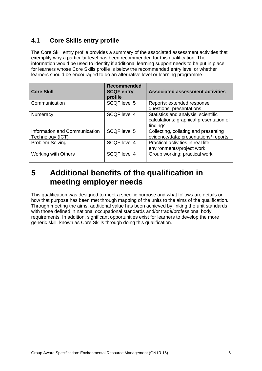### <span id="page-7-0"></span>**4.1 Core Skills entry profile**

The Core Skill entry profile provides a summary of the associated assessment activities that exemplify why a particular level has been recommended for this qualification. The information would be used to identify if additional learning support needs to be put in place for learners whose Core Skills profile is below the recommended entry level or whether learners should be encouraged to do an alternative level or learning programme.

| <b>Core Skill</b>                                 | <b>Recommended</b><br><b>SCQF entry</b><br>profile | <b>Associated assessment activities</b>                                                    |
|---------------------------------------------------|----------------------------------------------------|--------------------------------------------------------------------------------------------|
| Communication                                     | <b>SCQF level 5</b>                                | Reports; extended response<br>questions; presentations                                     |
| <b>Numeracy</b>                                   | <b>SCQF</b> level 4                                | Statistics and analysis; scientific<br>calculations; graphical presentation of<br>findings |
| Information and Communication<br>Technology (ICT) | <b>SCQF level 5</b>                                | Collecting, collating and presenting<br>evidence/data; presentations/ reports              |
| Problem Solving                                   | <b>SCQF level 4</b>                                | Practical activities in real life<br>environments/project work                             |
| <b>Working with Others</b>                        | <b>SCQF level 4</b>                                | Group working; practical work.                                                             |

### <span id="page-7-1"></span>**5 Additional benefits of the qualification in meeting employer needs**

This qualification was designed to meet a specific purpose and what follows are details on how that purpose has been met through mapping of the units to the aims of the qualification. Through meeting the aims, additional value has been achieved by linking the unit standards with those defined in national occupational standards and/or trade/professional body requirements. In addition, significant opportunities exist for learners to develop the more generic skill, known as Core Skills through doing this qualification.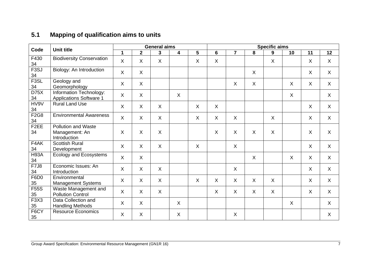### **5.1 Mapping of qualification aims to units**

<span id="page-8-0"></span>

| Code                                | <b>Unit title</b>                                            |             |                | <b>General aims</b> |                           |                 |                |                           |                           | <b>Specific aims</b> |         |         |         |
|-------------------------------------|--------------------------------------------------------------|-------------|----------------|---------------------|---------------------------|-----------------|----------------|---------------------------|---------------------------|----------------------|---------|---------|---------|
|                                     |                                                              | $\mathbf 1$ | $\overline{2}$ | 3                   | 4                         | $5\phantom{.0}$ | $6\phantom{1}$ | $\overline{7}$            | 8                         | 9                    | 10      | 11      | 12      |
| F430<br>34                          | <b>Biodiversity Conservation</b>                             | $\sf X$     | $\sf X$        | X                   |                           | X               | X              |                           |                           | X                    |         | $\sf X$ | X       |
| F <sub>3</sub> SJ<br>34             | Biology: An Introduction                                     | $\sf X$     | X              |                     |                           |                 |                |                           | X                         |                      |         | $\sf X$ | $\sf X$ |
| F <sub>3</sub> SL<br>34             | Geology and<br>Geomorphology                                 | $\sf X$     | $\sf X$        |                     |                           |                 |                | X                         | $\boldsymbol{\mathsf{X}}$ |                      | $\sf X$ | $\sf X$ | X       |
| D75X<br>34                          | Information Technology:<br><b>Applications Software 1</b>    | $\sf X$     | X              |                     | $\mathsf{X}$              |                 |                |                           |                           |                      | X       |         | $\sf X$ |
| HV9V<br>34                          | <b>Rural Land Use</b>                                        | X           | $\sf X$        | $\sf X$             |                           | X               | $\sf X$        |                           |                           |                      |         | $\sf X$ | $\sf X$ |
| F2G8<br>34                          | <b>Environmental Awareness</b>                               | $\sf X$     | $\sf X$        | $\sf X$             |                           | X               | X              | X                         |                           | $\sf X$              |         | $\sf X$ | X       |
| F <sub>2</sub> EE<br>34             | <b>Pollution and Waste</b><br>Management: An<br>Introduction | X           | $\sf X$        | X                   |                           |                 | $\sf X$        | $\boldsymbol{\mathsf{X}}$ | $\boldsymbol{\mathsf{X}}$ | $\sf X$              |         | $\sf X$ | $\sf X$ |
| F4AK<br>34                          | <b>Scottish Rural</b><br>Development                         | $\sf X$     | $\sf X$        | $\sf X$             |                           | $\sf X$         |                | $\boldsymbol{\mathsf{X}}$ |                           |                      |         | $\sf X$ | X       |
| <b>H93A</b><br>34                   | <b>Ecology and Ecosystems</b>                                | $\sf X$     | X              |                     |                           |                 |                |                           | $\boldsymbol{\mathsf{X}}$ |                      | $\sf X$ | $\sf X$ | $\sf X$ |
| <b>F7J8</b><br>34                   | Economic Issues: An<br>Introduction                          | $\sf X$     | $\sf X$        | $\sf X$             |                           |                 |                | $\boldsymbol{\mathsf{X}}$ |                           |                      |         | $\sf X$ | $\sf X$ |
| F6D0<br>35                          | Environmental<br><b>Management Systems</b>                   | $\sf X$     | X              | X                   |                           | $\sf X$         | X              | X                         | X                         | $\sf X$              |         | $\sf X$ | X       |
| <b>F55S</b><br>35                   | Waste Management and<br><b>Pollution Control</b>             | $\sf X$     | X              | X                   |                           |                 | X              | X                         | X                         | X                    |         | $\sf X$ | X       |
| F <sub>3</sub> X <sub>3</sub><br>35 | Data Collection and<br><b>Handling Methods</b>               | $\sf X$     | $\sf X$        |                     | $\boldsymbol{\mathsf{X}}$ |                 |                |                           |                           |                      | $\sf X$ |         | X       |
| F6CY<br>35                          | <b>Resource Economics</b>                                    | $\sf X$     | X              |                     | $\boldsymbol{\mathsf{X}}$ |                 |                | X                         |                           |                      |         |         | X       |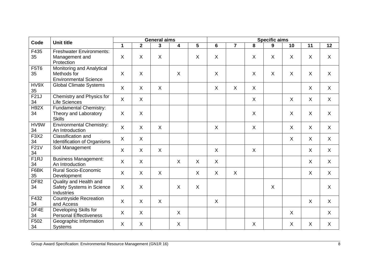| Code                    | <b>Unit title</b>                                                        |             |                | <b>General aims</b> |                         |                 |         |                |                           | <b>Specific aims</b> |         |         |         |
|-------------------------|--------------------------------------------------------------------------|-------------|----------------|---------------------|-------------------------|-----------------|---------|----------------|---------------------------|----------------------|---------|---------|---------|
|                         |                                                                          | $\mathbf 1$ | 2 <sup>1</sup> | $\mathbf{3}$        | $\overline{\mathbf{4}}$ | $5\phantom{.0}$ | 6       | $\overline{7}$ | 8                         | 9                    | 10      | 11      | 12      |
| F435<br>35              | <b>Freshwater Environments:</b><br>Management and<br>Protection          | X           | X              | $\times$            |                         | X               | X       |                | $\mathsf{X}$              | X                    | $\sf X$ | $\sf X$ | X       |
| <b>F5T6</b><br>35       | Monitoring and Analytical<br>Methods for<br><b>Environmental Science</b> | X           | X              |                     | X                       |                 | X       |                | X                         | $\sf X$              | X       | $\sf X$ | X       |
| HV9X<br>35              | <b>Global Climate Systems</b>                                            | X           | X              | $\sf X$             |                         |                 | X       | $\mathsf{X}$   | $\mathsf{X}$              |                      |         | $\sf X$ | X       |
| F21J<br>34              | Chemistry and Physics for<br>Life Sciences                               | X           | $\mathsf{X}$   |                     |                         |                 |         |                | X                         |                      | X       | $\sf X$ | X       |
| <b>H92X</b><br>34       | Fundamental Chemistry:<br>Theory and Laboratory<br><b>Skills</b>         | X           | X              |                     |                         |                 |         |                | $\boldsymbol{\mathsf{X}}$ |                      | $\sf X$ | $\sf X$ | X       |
| HV9W<br>34              | <b>Environmental Chemistry:</b><br>An Introduction                       | $\sf X$     | $\mathsf{X}$   | $\sf X$             |                         |                 | $\sf X$ |                | X                         |                      | $\sf X$ | $\sf X$ | X       |
| F3X2<br>34              | Classification and<br>Identification of Organisms                        | X           | $\mathsf{X}$   |                     |                         |                 |         |                |                           |                      | $\sf X$ | $\sf X$ | $\sf X$ |
| F21V<br>34              | Soil Management                                                          | $\sf X$     | $\mathsf{X}$   | $\sf X$             |                         |                 | X       |                | X                         |                      |         | $\sf X$ | $\sf X$ |
| F <sub>1</sub> RJ<br>34 | <b>Business Management:</b><br>An Introduction                           | X           | $\mathsf{X}$   |                     | $\sf X$                 | $\sf X$         | X       |                |                           |                      |         | $\sf X$ | X       |
| F6BK<br>35              | <b>Rural Socio-Economic</b><br>Development                               | X           | $\sf X$        | $\sf X$             |                         | X               | $\sf X$ | $\sf X$        |                           |                      |         | $\sf X$ | $\sf X$ |
| <b>DF82</b><br>34       | Quality and Health and<br><b>Safety Systems in Science</b><br>Industries | X           | $\sf X$        |                     | $\sf X$                 | X               |         |                |                           | $\sf X$              |         |         | $\sf X$ |
| F432<br>34              | <b>Countryside Recreation</b><br>and Access                              | $\sf X$     | $\mathsf{X}$   | $\sf X$             |                         |                 | $\sf X$ |                |                           |                      |         | $\sf X$ | $\sf X$ |
| DF4E<br>34              | Developing Skills for<br><b>Personal Effectiveness</b>                   | X           | $\mathsf{X}$   |                     | X                       |                 |         |                |                           |                      | $\sf X$ |         | X       |
| F502<br>34              | Geographic Information<br>Systems                                        | $\sf X$     | X              |                     | X                       |                 |         |                | $\sf X$                   |                      | $\sf X$ | $\sf X$ | $\sf X$ |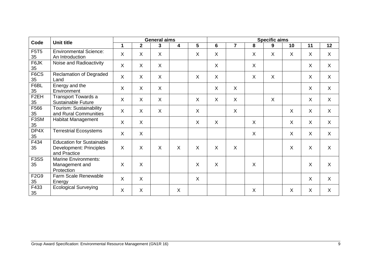| Code                    | <b>Unit title</b>                                                                  |             |              | <b>General aims</b> |   |                |         |                           |                           | <b>Specific aims</b> |         |                           |         |
|-------------------------|------------------------------------------------------------------------------------|-------------|--------------|---------------------|---|----------------|---------|---------------------------|---------------------------|----------------------|---------|---------------------------|---------|
|                         |                                                                                    | $\mathbf 1$ | $\mathbf{2}$ | 3                   | 4 | $5\phantom{1}$ | 6       | $\overline{7}$            | 8                         | 9                    | 10      | 11                        | 12      |
| <b>F5T5</b><br>35       | <b>Environmental Science:</b><br>An Introduction                                   | $\sf X$     | X            | X                   |   | X              | $\sf X$ |                           | $\sf X$                   | X                    | X       | X                         | X       |
| F6JK<br>35              | Noise and Radioactivity                                                            | $\sf X$     | X            | X                   |   |                | $\sf X$ |                           | X                         |                      |         | X                         | X       |
| F6CS<br>35              | <b>Reclamation of Degraded</b><br>Land                                             | $\sf X$     | $\sf X$      | $\times$            |   | $\sf X$        | $\sf X$ |                           | $\sf X$                   | $\sf X$              |         | $\sf X$                   | $\sf X$ |
| F6BL<br>35              | Energy and the<br>Environment                                                      | X           | X            | X                   |   |                | X       | X                         |                           |                      |         | X                         | X       |
| F <sub>2</sub> EH<br>35 | <b>Transport Towards a</b><br><b>Sustainable Future</b>                            | X           | $\mathsf{X}$ | X                   |   | $\sf X$        | X       | X                         |                           | $\sf X$              |         | X                         | X       |
| F566<br>35              | Tourism: Sustainability<br>and Rural Communities                                   | X           | X            | X                   |   | X              |         | $\boldsymbol{\mathsf{X}}$ |                           |                      | X       | $\sf X$                   | X       |
| F3SM<br>35              | Habitat Management                                                                 | X           | X            |                     |   | X              | $\sf X$ |                           | $\sf X$                   |                      | $\sf X$ | $\sf X$                   | X       |
| DP4X<br>35              | <b>Terrestrial Ecosystems</b>                                                      | $\sf X$     | $\mathsf{X}$ |                     |   |                |         |                           | $\boldsymbol{\mathsf{X}}$ |                      | $\sf X$ | X                         | $\sf X$ |
| F434<br>35              | <b>Education for Sustainable</b><br><b>Development: Principles</b><br>and Practice | $\sf X$     | X            | X                   | X | X              | $\sf X$ | X                         |                           |                      | X       | X                         | $\sf X$ |
| F <sub>3</sub> SS<br>35 | <b>Marine Environments:</b><br>Management and<br>Protection                        | X           | X            |                     |   | X              | $\sf X$ |                           | X                         |                      |         | X                         | $\sf X$ |
| <b>F2G9</b><br>35       | Farm Scale Renewable<br>Energy                                                     | $\sf X$     | $\mathsf{X}$ |                     |   | $\sf X$        |         |                           |                           |                      |         | $\boldsymbol{\mathsf{X}}$ | $\sf X$ |
| F433<br>35              | <b>Ecological Surveying</b>                                                        | X           | X            |                     | X |                |         |                           | X                         |                      | X       | $\sf X$                   | X       |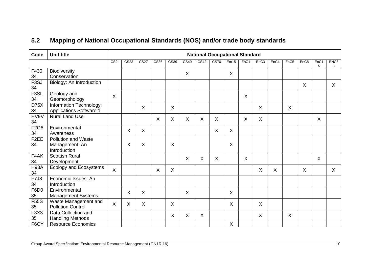### **5.2 Mapping of National Occupational Standards (NOS) and/or trade body standards**

<span id="page-11-0"></span>

| Code                    | <b>Unit title</b>                                            |                 | <b>National Occupational Standard</b> |                          |         |                           |                           |                  |             |         |                  |                           |      |                  |                  |           |                       |
|-------------------------|--------------------------------------------------------------|-----------------|---------------------------------------|--------------------------|---------|---------------------------|---------------------------|------------------|-------------|---------|------------------|---------------------------|------|------------------|------------------|-----------|-----------------------|
|                         |                                                              | CS <sub>2</sub> | CS <sub>23</sub>                      | $\overline{\text{CS27}}$ | CS36    | CS39                      | $\overline{\text{CS}40}$  | CS <sub>42</sub> | <b>CS70</b> | Em15    | EnC <sub>1</sub> | EnC3                      | EnC4 | EnC <sub>5</sub> | EnC <sub>8</sub> | EnC1<br>5 | ENC <sub>3</sub><br>3 |
| F430<br>34              | <b>Biodiversity</b><br>Conservation                          |                 |                                       |                          |         |                           | $\boldsymbol{\mathsf{X}}$ |                  |             | X       |                  |                           |      |                  |                  |           |                       |
| F <sub>3</sub> SJ<br>34 | Biology: An Introduction                                     |                 |                                       |                          |         |                           |                           |                  |             |         |                  |                           |      |                  | X                |           | $\sf X$               |
| F3SL<br>34              | Geology and<br>Geomorphology                                 | X               |                                       |                          |         |                           |                           |                  |             |         | X                |                           |      |                  |                  |           |                       |
| D75X<br>34              | Information Technology:<br><b>Applications Software 1</b>    |                 |                                       | X                        |         | X                         |                           |                  |             |         |                  | X                         |      | X                |                  |           |                       |
| HV9V<br>34              | <b>Rural Land Use</b>                                        |                 |                                       |                          | $\sf X$ | $\boldsymbol{\mathsf{X}}$ | $\boldsymbol{\mathsf{X}}$ | X                | X           |         | X                | $\boldsymbol{\mathsf{X}}$ |      |                  |                  | $\sf X$   |                       |
| <b>F2G8</b><br>34       | Environmental<br>Awareness                                   |                 | $\sf X$                               | $\sf X$                  |         |                           |                           |                  | $\sf X$     | $\sf X$ |                  |                           |      |                  |                  |           |                       |
| F <sub>2</sub> EE<br>34 | <b>Pollution and Waste</b><br>Management: An<br>Introduction |                 | X                                     | X                        |         | X                         |                           |                  |             | X       |                  |                           |      |                  |                  |           |                       |
| F4AK<br>34              | <b>Scottish Rural</b><br>Development                         |                 |                                       |                          |         |                           | X                         | X                | X           |         | $\sf X$          |                           |      |                  |                  | $\sf X$   |                       |
| <b>H93A</b><br>34       | Ecology and Ecosystems                                       | $\sf X$         |                                       |                          | $\sf X$ | X                         |                           |                  |             |         |                  | $\sf X$                   | X    |                  | $\sf X$          |           | $\mathsf{X}$          |
| <b>F7J8</b><br>34       | Economic Issues: An<br>Introduction                          |                 |                                       |                          |         |                           |                           |                  |             |         |                  |                           |      |                  |                  |           |                       |
| F6D <sub>0</sub><br>35  | Environmental<br><b>Management Systems</b>                   |                 | $\sf X$                               | $\sf X$                  |         |                           | $\sf X$                   |                  |             | X       |                  |                           |      |                  |                  |           |                       |
| <b>F55S</b><br>35       | Waste Management and<br><b>Pollution Control</b>             | X               | X                                     | X                        |         | X                         |                           |                  |             | X       |                  | X                         |      |                  |                  |           |                       |
| F3X3<br>35              | Data Collection and<br><b>Handling Methods</b>               |                 |                                       |                          |         | X                         | X                         | X                |             |         |                  | $\sf X$                   |      | X                |                  |           |                       |
| F6CY                    | <b>Resource Economics</b>                                    |                 |                                       |                          |         |                           |                           |                  |             | $\sf X$ |                  |                           |      |                  |                  |           |                       |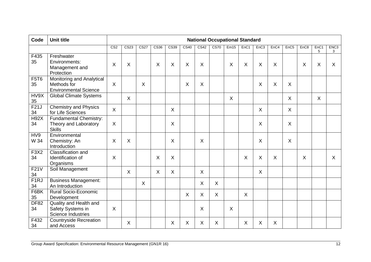| Code              | <b>Unit title</b>                                                        |                           | <b>National Occupational Standard</b> |             |              |             |             |                          |              |      |                  |          |         |                  |                  |                       |                       |
|-------------------|--------------------------------------------------------------------------|---------------------------|---------------------------------------|-------------|--------------|-------------|-------------|--------------------------|--------------|------|------------------|----------|---------|------------------|------------------|-----------------------|-----------------------|
|                   |                                                                          | CS <sub>2</sub>           | CS <sub>23</sub>                      | <b>CS27</b> | CS36         | <b>CS39</b> | <b>CS40</b> | $\overline{\text{CS}42}$ | <b>CS70</b>  | Em15 | EnC <sub>1</sub> | EnC3     | EnC4    | EnC <sub>5</sub> | EnC <sub>8</sub> | EnC <sub>1</sub><br>5 | ENC <sub>3</sub><br>3 |
| F435<br>35        | Freshwater<br>Environments:<br>Management and<br>Protection              | X                         | X                                     |             | $\mathsf{X}$ | X           | $\sf X$     | X                        |              | X    | $\sf X$          | $\times$ | $\sf X$ |                  | $\times$         | $\sf X$               | X                     |
| <b>F5T6</b><br>35 | Monitoring and Analytical<br>Methods for<br><b>Environmental Science</b> | $\sf X$                   |                                       | X           |              |             | X           | X                        |              |      |                  | X        | $\sf X$ | X                |                  |                       |                       |
| HV9X<br>35        | <b>Global Climate Systems</b>                                            |                           | X                                     |             |              |             |             |                          |              | X    |                  |          |         | X                |                  | X                     |                       |
| F21J<br>34        | <b>Chemistry and Physics</b><br>for Life Sciences                        | X                         |                                       |             |              | X           |             |                          |              |      |                  | X        |         | X                |                  |                       |                       |
| <b>H92X</b><br>34 | Fundamental Chemistry:<br>Theory and Laboratory<br><b>Skills</b>         | $\boldsymbol{\mathsf{X}}$ |                                       |             |              | X           |             |                          |              |      |                  | X        |         | $\sf X$          |                  |                       |                       |
| HV9<br>W 34       | Environmental<br>Chemistry: An<br>Introduction                           | X                         | X                                     |             |              | X           |             | X                        |              |      |                  | X        |         | $\sf X$          |                  |                       |                       |
| <b>F3X2</b><br>34 | Classification and<br>Identification of<br>Organisms                     | X                         |                                       |             | X            | X           |             |                          |              |      | X                | X        | $\sf X$ |                  | X                |                       | $\sf X$               |
| F21V<br>34        | Soil Management                                                          |                           | X                                     |             | $\mathsf{X}$ | X           |             | X                        |              |      |                  | $\sf X$  |         |                  |                  |                       |                       |
| F1RJ<br>34        | Business Management:<br>An Introduction                                  |                           |                                       | X           |              |             |             | $\sf X$                  | $\mathsf{X}$ |      |                  |          |         |                  |                  |                       |                       |
| F6BK<br>35        | <b>Rural Socio-Economic</b><br>Development                               |                           |                                       |             |              |             | X           | X                        | $\mathsf{X}$ |      | $\sf X$          |          |         |                  |                  |                       |                       |
| <b>DF82</b><br>34 | Quality and Health and<br>Safety Systems in<br><b>Science Industries</b> | $\boldsymbol{\mathsf{X}}$ |                                       |             |              |             |             | X                        |              | X    |                  |          |         |                  |                  |                       |                       |
| F432<br>34        | <b>Countryside Recreation</b><br>and Access                              |                           | X                                     |             |              | X           | X           | Χ                        | X            |      | X                | X        | $\sf X$ |                  |                  |                       |                       |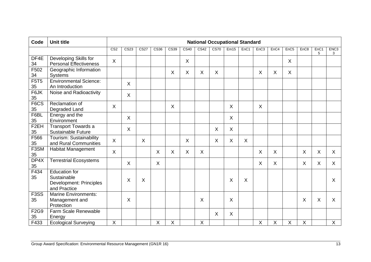| Code                    | <b>Unit title</b>                                                                     | <b>National Occupational Standard</b> |                  |                          |         |      |      |      |                          |                |      |                  |      |                  |                  |           |                       |
|-------------------------|---------------------------------------------------------------------------------------|---------------------------------------|------------------|--------------------------|---------|------|------|------|--------------------------|----------------|------|------------------|------|------------------|------------------|-----------|-----------------------|
|                         |                                                                                       | CS <sub>2</sub>                       | CS <sub>23</sub> | $\overline{\text{CS27}}$ | CS36    | CS39 | CS40 | CS42 | $\overline{\text{CS70}}$ | Em15           | EnC1 | EnC <sub>3</sub> | EnC4 | EnC <sub>5</sub> | EnC <sub>8</sub> | EnC1<br>5 | ENC <sub>3</sub><br>3 |
| DF4E<br>34              | Developing Skills for<br><b>Personal Effectiveness</b>                                | $\boldsymbol{\mathsf{X}}$             |                  |                          |         |      | X    |      |                          |                |      |                  |      | X                |                  |           |                       |
| F502<br>34              | Geographic Information<br><b>Systems</b>                                              |                                       |                  |                          |         | X    | X    | X    | X                        |                |      | X                | X    | $\pmb{\times}$   |                  |           |                       |
| <b>F5T5</b><br>35       | <b>Environmental Science:</b><br>An Introduction                                      |                                       | $\sf X$          |                          |         |      |      |      |                          |                |      |                  |      |                  |                  |           |                       |
| F6JK<br>35              | Noise and Radioactivity                                                               |                                       | $\sf X$          |                          |         |      |      |      |                          |                |      |                  |      |                  |                  |           |                       |
| F <sub>6</sub> CS<br>35 | Reclamation of<br>Degraded Land                                                       | $\sf X$                               |                  |                          |         | X    |      |      |                          | X              |      | X                |      |                  |                  |           |                       |
| F6BL<br>35              | Energy and the<br>Environment                                                         |                                       | $\sf X$          |                          |         |      |      |      |                          | $\mathsf{X}$   |      |                  |      |                  |                  |           |                       |
| F <sub>2</sub> EH<br>35 | <b>Transport Towards a</b><br><b>Sustainable Future</b>                               |                                       | $\sf X$          |                          |         |      |      |      | X                        | X              |      |                  |      |                  |                  |           |                       |
| F566<br>35              | Tourism: Sustainability<br>and Rural Communities                                      | $\boldsymbol{\mathsf{X}}$             |                  | $\sf X$                  |         |      | X    |      | X                        | $\pmb{\times}$ | X    |                  |      |                  |                  |           |                       |
| F3SM<br>35              | <b>Habitat Management</b>                                                             | $\boldsymbol{\mathsf{X}}$             |                  |                          | X       | X    | X    | X    |                          |                |      | X                | X    |                  | X                | X         | X                     |
| DP4X<br>35              | <b>Terrestrial Ecosystems</b>                                                         |                                       | X                |                          | $\sf X$ |      |      |      |                          |                |      | X                | X    |                  | X                | X         | X                     |
| F434<br>35              | <b>Education for</b><br>Sustainable<br><b>Development: Principles</b><br>and Practice |                                       | X                | X                        |         |      |      |      |                          | X              | X    |                  |      |                  |                  |           | X                     |
| F <sub>3</sub> SS<br>35 | <b>Marine Environments:</b><br>Management and<br>Protection                           |                                       | X                |                          |         |      |      | X    |                          | X              |      |                  |      |                  | X                | X         | X                     |
| <b>F2G9</b><br>35       | Farm Scale Renewable<br>Energy                                                        |                                       |                  |                          |         |      |      |      | X                        | $\pmb{\times}$ |      |                  |      |                  |                  |           |                       |
| $\overline{F433}$       | <b>Ecological Surveying</b>                                                           | X                                     |                  |                          | Χ       | Χ    |      | X    |                          |                |      | X                | X    | X                | $\pmb{\times}$   |           | $\mathsf{X}$          |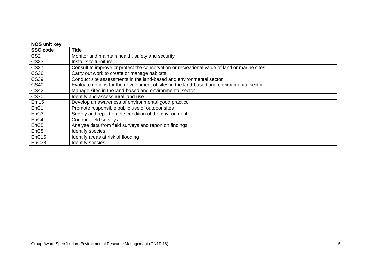| <b>NOS unit key</b> |                                                                                              |
|---------------------|----------------------------------------------------------------------------------------------|
| <b>SSC code</b>     | <b>Title</b>                                                                                 |
| CS <sub>2</sub>     | Monitor and maintain health, safety and security                                             |
| <b>CS23</b>         | Install site furniture                                                                       |
| <b>CS27</b>         | Consult to improve or protect the conservation or recreational value of land or marine sites |
| <b>CS36</b>         | Carry out work to create or manage habitats                                                  |
| <b>CS39</b>         | Conduct site assessments in the land-based and environmental sector                          |
| <b>CS40</b>         | Evaluate options for the development of sites in the land-based and environmental sector     |
| <b>CS42</b>         | Manage sites in the land-based and environmental sector                                      |
| <b>CS70</b>         | Identify and assess rural land use                                                           |
| Em15                | Develop an awareness of environmental good practice                                          |
| EnC1                | Promote responsible public use of outdoor sites                                              |
| EnC <sub>3</sub>    | Survey and report on the condition of the environment                                        |
| EnC4                | Conduct field surveys                                                                        |
| EnC <sub>5</sub>    | Analyse data from field surveys and report on findings                                       |
| EnC <sub>8</sub>    | Identify species                                                                             |
| EnC <sub>15</sub>   | Identify areas at risk of flooding                                                           |
| EnC33               | Identify species                                                                             |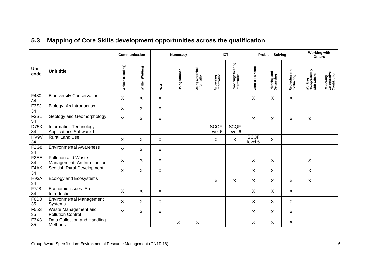|  |  | 5.3 Mapping of Core Skills development opportunities across the qualification |  |  |  |
|--|--|-------------------------------------------------------------------------------|--|--|--|
|--|--|-------------------------------------------------------------------------------|--|--|--|

<span id="page-17-0"></span>

|                                     |                                                           | Communication             |                   |                           | <b>Numeracy</b> |                                |                          | <b>ICT</b>                        |                        | <b>Problem Solving</b>            |                                  | <b>Working with</b><br><b>Others</b>            |                                           |
|-------------------------------------|-----------------------------------------------------------|---------------------------|-------------------|---------------------------|-----------------|--------------------------------|--------------------------|-----------------------------------|------------------------|-----------------------------------|----------------------------------|-------------------------------------------------|-------------------------------------------|
| Unit<br>code                        | <b>Unit title</b>                                         | Written (Reading)         | Written (Writing) | Drai                      | Using Number    | Using Graphical<br>Information | Accessing<br>Information | Providing/Creating<br>Information | Critical Thinking      | and<br>Planning and<br>Organising | and<br>Reviewing a<br>Evaluating | <b>Working</b><br>Co-operatively<br>with Others | Reviewing<br>Co-operative<br>Contribution |
| F430<br>34                          | <b>Biodiversity Conservation</b>                          | $\sf X$                   | X                 | X                         |                 |                                |                          |                                   | X                      | X                                 | $\sf X$                          |                                                 |                                           |
| F <sub>3</sub> SJ<br>34             | Biology: An Introduction                                  | $\sf X$                   | $\sf X$           | $\boldsymbol{\mathsf{X}}$ |                 |                                |                          |                                   |                        |                                   |                                  |                                                 |                                           |
| F <sub>3</sub> SL<br>34             | Geology and Geomorphology                                 | $\sf X$                   | X                 | X                         |                 |                                |                          |                                   | X                      | X                                 | X                                | X                                               |                                           |
| D75X<br>34                          | Information Technology:<br>Applications Software 1        |                           |                   |                           |                 |                                | <b>SCQF</b><br>level 6   | <b>SCQF</b><br>level 6            |                        |                                   |                                  |                                                 |                                           |
| HV9V<br>34                          | <b>Rural Land Use</b>                                     | $\boldsymbol{\mathsf{X}}$ | $\mathsf{X}$      | $\boldsymbol{\mathsf{X}}$ |                 |                                | X                        | $\mathsf{X}$                      | <b>SCQF</b><br>level 5 | $\mathsf{X}$                      |                                  |                                                 |                                           |
| F2G8<br>34                          | <b>Environmental Awareness</b>                            | $\sf X$                   | X                 | X                         |                 |                                |                          |                                   |                        |                                   |                                  |                                                 |                                           |
| F <sub>2</sub> EE<br>34             | <b>Pollution and Waste</b><br>Management: An Introduction | $\boldsymbol{\mathsf{X}}$ | X                 | X                         |                 |                                |                          |                                   | X                      | X                                 |                                  | $\boldsymbol{\mathsf{X}}$                       |                                           |
| F4AK<br>34                          | Scottish Rural Development                                | $\sf X$                   | $\sf X$           | $\boldsymbol{\mathsf{X}}$ |                 |                                |                          |                                   | X                      | X                                 |                                  | $\boldsymbol{\mathsf{X}}$                       |                                           |
| <b>H93A</b><br>34                   | <b>Ecology and Ecosystems</b>                             |                           |                   |                           |                 |                                | X                        | X                                 | X                      | X                                 | X                                | X                                               |                                           |
| F7J8<br>34                          | Economic Issues: An<br>Introduction                       | $\sf X$                   | X                 | X                         |                 |                                |                          |                                   | X                      | X                                 | X                                |                                                 |                                           |
| F6D <sub>0</sub><br>35              | <b>Environmental Management</b><br>Systems                | $\sf X$                   | X                 | $\boldsymbol{\mathsf{X}}$ |                 |                                |                          |                                   | X                      | X                                 | $\sf X$                          |                                                 |                                           |
| <b>F55S</b><br>35                   | Waste Management and<br><b>Pollution Control</b>          | $\sf X$                   | X                 | X                         |                 |                                |                          |                                   | X                      | X                                 | X                                |                                                 |                                           |
| F <sub>3</sub> X <sub>3</sub><br>35 | Data Collection and Handling<br>Methods                   |                           |                   |                           | X               | X                              |                          |                                   | X                      | X                                 | X                                |                                                 |                                           |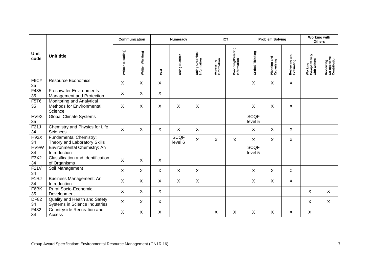|                         |                                                                   |                           | Communication     |                           | <b>Numeracy</b>        |                                |                          | <b>ICT</b>                        |                        | <b>Problem Solving</b>           |                                  | <b>Working with</b><br><b>Others</b>     |                                           |
|-------------------------|-------------------------------------------------------------------|---------------------------|-------------------|---------------------------|------------------------|--------------------------------|--------------------------|-----------------------------------|------------------------|----------------------------------|----------------------------------|------------------------------------------|-------------------------------------------|
| Unit<br>code            | <b>Unit title</b>                                                 | Written (Reading)         | Written (Writing) | <b>Oral</b>               | Using Number           | Using Graphical<br>Information | Accessing<br>Information | Providing/Creating<br>Information | Critical Thinking      | and<br>Planning an<br>Organising | and<br>Reviewing a<br>Evaluating | Working<br>Co-operatively<br>with Others | Reviewing<br>Co-operative<br>Contribution |
| F6CY<br>35              | <b>Resource Economics</b>                                         | X                         | X                 | X                         |                        |                                |                          |                                   | X                      | X                                | X                                |                                          |                                           |
| F435<br>35              | <b>Freshwater Environments:</b><br>Management and Protection      | $\boldsymbol{\mathsf{X}}$ | X                 | X                         |                        |                                |                          |                                   |                        |                                  |                                  |                                          |                                           |
| <b>F5T6</b><br>35       | Monitoring and Analytical<br>Methods for Environmental<br>Science | X                         | X                 | X                         | X                      | X                              |                          |                                   | X                      | X                                | $\sf X$                          |                                          |                                           |
| HV9X<br>35              | <b>Global Climate Systems</b>                                     |                           |                   |                           |                        |                                |                          |                                   | <b>SCQF</b><br>level 5 |                                  |                                  |                                          |                                           |
| F21J<br>34              | Chemistry and Physics for Life<br><b>Sciences</b>                 | $\sf X$                   | X                 | $\boldsymbol{\mathsf{X}}$ | X                      | X                              |                          |                                   | $\mathsf{X}$           | X                                | $\sf X$                          |                                          |                                           |
| <b>H92X</b><br>34       | Fundamental Chemistry:<br>Theory and Laboratory Skills            |                           |                   |                           | <b>SCQF</b><br>level 6 | X                              | X                        | X                                 | $\pmb{\times}$         | X                                | $\mathsf X$                      |                                          |                                           |
| HV9W<br>34              | Environmental Chemistry: An<br>Introduction                       |                           |                   |                           |                        |                                |                          |                                   | <b>SCQF</b><br>level 5 |                                  |                                  |                                          |                                           |
| F3X2<br>34              | <b>Classification and Identification</b><br>of Organisms          | X                         | $\sf X$           | X                         |                        |                                |                          |                                   |                        |                                  |                                  |                                          |                                           |
| F21V<br>34              | Soil Management                                                   | X                         | $\sf X$           | $\sf X$                   | X                      | X                              |                          |                                   | X                      | X                                | $\sf X$                          |                                          |                                           |
| F <sub>1</sub> RJ<br>34 | Business Management: An<br>Introduction                           | $\sf X$                   | X                 | $\boldsymbol{\mathsf{X}}$ | X                      | X                              |                          |                                   | X                      | X                                | $\sf X$                          |                                          |                                           |
| F6BK<br>35              | Rural Socio-Economic<br>Development                               | $\sf X$                   | X                 | $\boldsymbol{\mathsf{X}}$ |                        |                                |                          |                                   |                        |                                  |                                  | X                                        | X                                         |
| <b>DF82</b><br>34       | Quality and Health and Safety<br>Systems in Science Industries    | X                         | X                 | X                         |                        |                                |                          |                                   |                        |                                  |                                  | X                                        | X                                         |
| $\overline{F432}$<br>34 | Countryside Recreation and<br>Access                              | $\sf X$                   | X                 | X                         |                        |                                | X                        | X                                 | X                      | X                                | X                                | X                                        |                                           |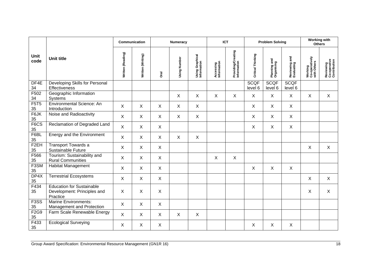|                         |                                                                             |                           | Communication     |                           | <b>Numeracy</b> |                                |                          | <b>ICT</b>                        |                        | <b>Problem Solving</b>     |                                  | <b>Working with</b><br><b>Others</b>     |                                           |
|-------------------------|-----------------------------------------------------------------------------|---------------------------|-------------------|---------------------------|-----------------|--------------------------------|--------------------------|-----------------------------------|------------------------|----------------------------|----------------------------------|------------------------------------------|-------------------------------------------|
| Unit<br>code            | <b>Unit title</b>                                                           | Written (Reading)         | Written (Writing) | <b>Oral</b>               | Using Number    | Using Graphical<br>Information | Accessing<br>Information | Providing/Creating<br>Information | Critical Thinking      | Planning and<br>Organising | and<br>Reviewing a<br>Evaluating | Working<br>Co-operatively<br>with Others | Reviewing<br>Co-operative<br>Contribution |
| DF4E<br>34              | Developing Skills for Personal<br>Effectiveness                             |                           |                   |                           |                 |                                |                          |                                   | <b>SCQF</b><br>level 6 | <b>SCQF</b><br>level 6     | <b>SCQF</b><br>level 6           |                                          |                                           |
| F502<br>34              | Geographic Information<br>Systems                                           |                           |                   |                           | X               | X                              | X                        | X                                 | X                      | X                          | $\sf X$                          | $\sf X$                                  | $\sf X$                                   |
| <b>F5T5</b><br>$35\,$   | Environmental Science: An<br>Introduction                                   | $\boldsymbol{X}$          | $\sf X$           | $\boldsymbol{\mathsf{X}}$ | $\mathsf{X}$    | $\mathsf{X}$                   |                          |                                   | $\mathsf{X}$           | X                          | $\mathsf{X}$                     |                                          |                                           |
| F6JK<br>$35\,$          | Noise and Radioactivity                                                     | $\boldsymbol{X}$          | $\mathsf X$       | $\boldsymbol{\mathsf{X}}$ | $\mathsf X$     | $\mathsf X$                    |                          |                                   | X                      | $\mathsf{X}$               | $\mathsf{X}$                     |                                          |                                           |
| F6CS<br>$35\,$          | Reclamation of Degraded Land                                                | $\boldsymbol{X}$          | $\mathsf{X}$      | $\boldsymbol{\mathsf{X}}$ |                 |                                |                          |                                   | X                      | X                          | $\mathsf{X}$                     |                                          |                                           |
| F6BL<br>35              | Energy and the Environment                                                  | $\boldsymbol{X}$          | $\mathsf{X}$      | $\boldsymbol{\mathsf{X}}$ | $\sf X$         | X                              |                          |                                   |                        |                            |                                  |                                          |                                           |
| F <sub>2</sub> EH<br>35 | <b>Transport Towards a</b><br>Sustainable Future                            | $\sf X$                   | $\mathsf{X}$      | $\boldsymbol{\mathsf{X}}$ |                 |                                |                          |                                   |                        |                            |                                  | $\boldsymbol{\mathsf{X}}$                | $\boldsymbol{\mathsf{X}}$                 |
| F566<br>35              | Tourism: Sustainability and<br><b>Rural Communities</b>                     | $\boldsymbol{X}$          | $\mathsf X$       | $\boldsymbol{\mathsf{X}}$ |                 |                                | $\pmb{\times}$           | $\mathsf X$                       |                        |                            |                                  |                                          |                                           |
| F <sub>3</sub> SM<br>35 | <b>Habitat Management</b>                                                   | $\boldsymbol{X}$          | $\pmb{\times}$    | $\boldsymbol{\mathsf{X}}$ |                 |                                |                          |                                   | $\mathsf{X}$           | X                          | $\mathsf X$                      |                                          |                                           |
| DP4X<br>35              | Terrestrial Ecosystems                                                      | $\boldsymbol{X}$          | $\mathsf{X}$      | $\boldsymbol{\mathsf{X}}$ |                 |                                |                          |                                   |                        |                            |                                  | $\boldsymbol{\mathsf{X}}$                | $\sf X$                                   |
| F434<br>35              | <b>Education for Sustainable</b><br>Development: Principles and<br>Practice | $\boldsymbol{\mathsf{X}}$ | Χ                 | $\times$                  |                 |                                |                          |                                   |                        |                            |                                  | X                                        | X                                         |
| F <sub>3</sub> SS<br>35 | <b>Marine Environments:</b><br>Management and Protection                    | $\boldsymbol{X}$          | X                 | $\boldsymbol{\mathsf{X}}$ |                 |                                |                          |                                   |                        |                            |                                  |                                          |                                           |
| F2G9<br>35              | Farm Scale Renewable Energy                                                 | $\sf X$                   | $\sf X$           | $\boldsymbol{\mathsf{X}}$ | $\mathsf{X}$    | X                              |                          |                                   |                        |                            |                                  |                                          |                                           |
| F433<br>35              | Ecological Surveying                                                        | $\boldsymbol{\mathsf{X}}$ | X                 | $\boldsymbol{\mathsf{X}}$ |                 |                                |                          |                                   | $\mathsf X$            | X                          | $\mathsf X$                      |                                          |                                           |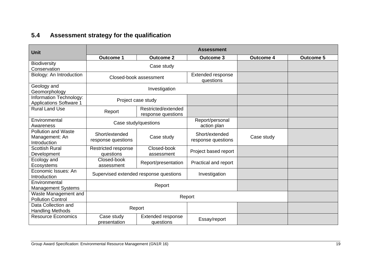# **5.4 Assessment strategy for the qualification**

<span id="page-20-0"></span>

| <b>Unit</b>                                                  | <b>Assessment</b>                    |                                           |                                      |                  |                  |  |  |  |  |  |  |
|--------------------------------------------------------------|--------------------------------------|-------------------------------------------|--------------------------------------|------------------|------------------|--|--|--|--|--|--|
|                                                              | <b>Outcome 1</b>                     | <b>Outcome 2</b>                          | <b>Outcome 3</b>                     | <b>Outcome 4</b> | <b>Outcome 5</b> |  |  |  |  |  |  |
| <b>Biodiversity</b><br>Conservation                          |                                      | Case study                                |                                      |                  |                  |  |  |  |  |  |  |
| Biology: An Introduction                                     |                                      | Closed-book assessment                    | Extended response<br>questions       |                  |                  |  |  |  |  |  |  |
| Geology and<br>Geomorphology                                 |                                      | Investigation                             |                                      |                  |                  |  |  |  |  |  |  |
| Information Technology:<br><b>Applications Software 1</b>    |                                      | Project case study                        |                                      |                  |                  |  |  |  |  |  |  |
| <b>Rural Land Use</b>                                        | Report                               | Restricted/extended<br>response questions |                                      |                  |                  |  |  |  |  |  |  |
| Environmental<br>Awareness                                   |                                      | Case study/questions                      | Report/personal<br>action plan       |                  |                  |  |  |  |  |  |  |
| <b>Pollution and Waste</b><br>Management: An<br>Introduction | Short/extended<br>response questions | Case study                                | Short/extended<br>response questions | Case study       |                  |  |  |  |  |  |  |
| <b>Scottish Rural</b><br>Development                         | Restricted response<br>questions     | Closed-book<br>assessment                 | Project based report                 |                  |                  |  |  |  |  |  |  |
| Ecology and<br>Ecosystems                                    | Closed-book<br>assessment            | Report/presentation                       | Practical and report                 |                  |                  |  |  |  |  |  |  |
| Economic Issues: An<br>Introduction                          |                                      | Supervised extended response questions    | Investigation                        |                  |                  |  |  |  |  |  |  |
| Environmental<br><b>Management Systems</b>                   |                                      | Report                                    |                                      |                  |                  |  |  |  |  |  |  |
| Waste Management and<br><b>Pollution Control</b>             |                                      | Report                                    |                                      |                  |                  |  |  |  |  |  |  |
| Data Collection and<br><b>Handling Methods</b>               |                                      | Report                                    |                                      |                  |                  |  |  |  |  |  |  |
| <b>Resource Economics</b>                                    | Case study<br>presentation           | Extended response<br>questions            | Essay/report                         |                  |                  |  |  |  |  |  |  |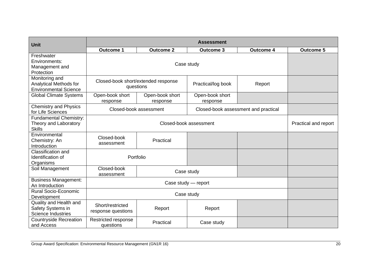| <b>Unit</b>                                                              |                                        |                                                  | <b>Assessment</b>           |                                      |                  |  |
|--------------------------------------------------------------------------|----------------------------------------|--------------------------------------------------|-----------------------------|--------------------------------------|------------------|--|
|                                                                          | <b>Outcome 1</b>                       | <b>Outcome 2</b>                                 | <b>Outcome 3</b>            | <b>Outcome 4</b>                     | <b>Outcome 5</b> |  |
| Freshwater<br>Environments:<br>Management and<br>Protection              |                                        |                                                  | Case study                  |                                      |                  |  |
| Monitoring and<br>Analytical Methods for<br><b>Environmental Science</b> |                                        | Closed-book short/extended response<br>questions | Practical/log book          | Report                               |                  |  |
| <b>Global Climate Systems</b>                                            | Open-book short<br>response            | Open-book short<br>response                      | Open-book short<br>response |                                      |                  |  |
| <b>Chemistry and Physics</b><br>for Life Sciences                        |                                        | Closed-book assessment                           |                             | Closed-book assessment and practical |                  |  |
| <b>Fundamental Chemistry:</b><br>Theory and Laboratory<br><b>Skills</b>  |                                        | Practical and report                             |                             |                                      |                  |  |
| Environmental<br>Chemistry: An<br>Introduction                           | Closed-book<br>assessment              | Practical                                        |                             |                                      |                  |  |
| Classification and<br>Identification of<br>Organisms                     |                                        | Portfolio                                        |                             |                                      |                  |  |
| Soil Management                                                          | Closed-book<br>assessment              |                                                  | Case study                  |                                      |                  |  |
| <b>Business Management:</b><br>An Introduction                           |                                        | Case study - report                              |                             |                                      |                  |  |
| <b>Rural Socio-Economic</b><br>Development                               |                                        |                                                  |                             |                                      |                  |  |
| Quality and Health and<br>Safety Systems in<br><b>Science Industries</b> | Short/restricted<br>response questions | Report                                           | Report                      |                                      |                  |  |
| <b>Countryside Recreation</b><br>and Access                              | Restricted response<br>questions       | Practical                                        | Case study                  |                                      |                  |  |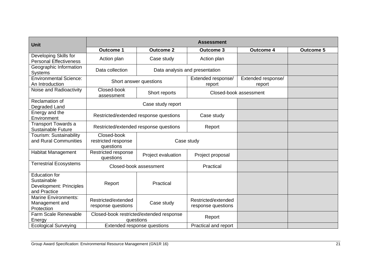| <b>Unit</b>                                                                    |                                                 |                                                       | <b>Assessment</b>                         |                              |                  |
|--------------------------------------------------------------------------------|-------------------------------------------------|-------------------------------------------------------|-------------------------------------------|------------------------------|------------------|
|                                                                                | <b>Outcome 1</b>                                | <b>Outcome 2</b>                                      | <b>Outcome 3</b>                          | <b>Outcome 4</b>             | <b>Outcome 5</b> |
| Developing Skills for<br><b>Personal Effectiveness</b>                         | Action plan                                     | Case study                                            | Action plan                               |                              |                  |
| Geographic Information<br><b>Systems</b>                                       | Data collection                                 |                                                       | Data analysis and presentation            |                              |                  |
| <b>Environmental Science:</b><br>An Introduction                               | Short answer questions                          |                                                       | Extended response/<br>report              | Extended response/<br>report |                  |
| Noise and Radioactivity                                                        | Closed-book<br>assessment                       | Short reports                                         |                                           | Closed-book assessment       |                  |
| Reclamation of<br>Degraded Land                                                |                                                 | Case study report                                     |                                           |                              |                  |
| Energy and the<br>Environment                                                  |                                                 | Restricted/extended response questions                | Case study                                |                              |                  |
| <b>Transport Towards a</b><br><b>Sustainable Future</b>                        |                                                 | Restricted/extended response questions                | Report                                    |                              |                  |
| Tourism: Sustainability<br>and Rural Communities                               | Closed-book<br>restricted response<br>questions |                                                       | Case study                                |                              |                  |
| <b>Habitat Management</b>                                                      | Restricted response<br>questions                | Project evaluation                                    | Project proposal                          |                              |                  |
| <b>Terrestrial Ecosystems</b>                                                  |                                                 | Closed-book assessment                                | Practical                                 |                              |                  |
| <b>Education for</b><br>Sustainable<br>Development: Principles<br>and Practice | Report                                          | Practical                                             |                                           |                              |                  |
| <b>Marine Environments:</b><br>Management and<br>Protection                    | Restricted/extended<br>response questions       | Case study                                            | Restricted/extended<br>response questions |                              |                  |
| <b>Farm Scale Renewable</b><br>Energy                                          |                                                 | Closed-book restricted/extended response<br>questions | Report                                    |                              |                  |
| <b>Ecological Surveying</b>                                                    |                                                 | Extended response questions                           | Practical and report                      |                              |                  |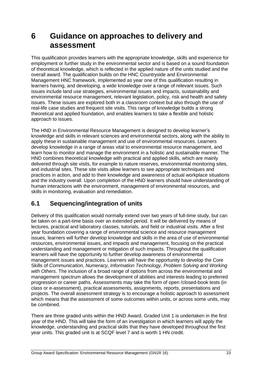### <span id="page-24-0"></span>**6 Guidance on approaches to delivery and assessment**

This qualification provides learners with the appropriate knowledge, skills and experience for employment or further study in the environmental sector and is based on a sound foundation of theoretical knowledge, which is reflected in the applied nature of the units studied and the overall award. The qualification builds on the HNC Countryside and Environmental Management HNC framework, implemented as year one of this qualification resulting in learners having, and developing, a wide knowledge over a range of relevant issues. Such issues include land use strategies, environmental issues and impacts, sustainability and environmental resource management, relevant legislation, policy, risk and health and safety issues. These issues are explored both in a classroom context but also through the use of real-life case studies and frequent site visits. This range of knowledge builds a strong theoretical and applied foundation, and enables learners to take a flexible and holistic approach to issues.

The HND in Environmental Resource Management is designed to develop learner's knowledge and skills in relevant sciences and environmental sectors, along with the ability to apply these in sustainable management and use of environmental resources. Learners develop knowledge in a range of areas vital to environmental resource management, and learn how to monitor and manage the environment in a holistic and sustainable manner. The HND combines theoretical knowledge with practical and applied skills, which are mainly delivered through site visits, for example to nature reserves, environmental monitoring sites, and industrial sites. These site visits allow learners to see appropriate techniques and practices in action, and add to their knowledge and awareness of actual workplace situations and the industry overall. Upon completion of the HND learners should have understanding of human interactions with the environment, management of environmental resources, and skills in monitoring, evaluation and remediation.

#### <span id="page-24-1"></span>**6.1 Sequencing/integration of units**

Delivery of this qualification would normally extend over two years of full-time study, but can be taken on a part-time basis over an extended period. It will be delivered by means of lectures, practical and laboratory classes, tutorials, and field or industrial visits. After a first year foundation covering a range of environmental science and resource management issues, learners will further develop knowledge and skills in the area of use of environmental resources, environmental issues, and impacts and management, focusing on the practical understanding and management or mitigation of such impacts. Throughout the qualification learners will have the opportunity to further develop awareness of environmental management issues and practices. Learners will have the opportunity to develop the Core Skills of *Communication, Numeracy, Information Technology, Problem Solving and Working with Others*. The inclusion of a broad range of options from across the environmental and management spectrum allows the development of abilities and interests leading to preferred progression or career paths. Assessments may take the form of open /closed-book tests (in class or e-assessment), practical assessments, assignments, reports, presentations and projects. The overall assessment strategy is to encourage a holistic approach to assessment which means that the assessment of some outcomes within units, or across some units, may be combined.

There are three graded units within the HND Award. Graded Unit 1 is undertaken in the first year of the HND. This will take the form of an investigation in which learners will apply the knowledge, understanding and practical skills that they have developed throughout the first year units. This graded unit is at SCQF level 7 and is worth 1 HN credit.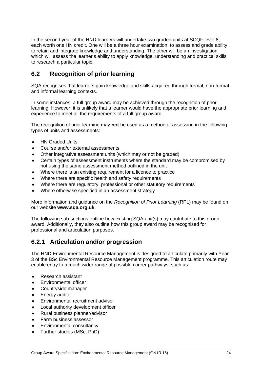In the second year of the HND learners will undertake two graded units at SCQF level 8, each worth one HN credit. One will be a three hour examination, to assess and grade ability to retain and integrate knowledge and understanding. The other will be an investigation which will assess the learner's ability to apply knowledge, understanding and practical skills to research a particular topic.

#### <span id="page-25-0"></span>**6.2 Recognition of prior learning**

SQA recognises that learners gain knowledge and skills acquired through formal, non-formal and informal learning contexts.

In some instances, a full group award may be achieved through the recognition of prior learning. However, it is unlikely that a learner would have the appropriate prior learning and experience to meet all the requirements of a full group award.

The recognition of prior learning may **not** be used as a method of assessing in the following types of units and assessments:

- ◆ HN Graded Units
- Course and/or external assessments
- Other integrative assessment units (which may or not be graded)
- Certain types of assessment instruments where the standard may be compromised by not using the same assessment method outlined in the unit
- Where there is an existing requirement for a licence to practice
- Where there are specific health and safety requirements
- Where there are regulatory, professional or other statutory requirements
- Where otherwise specified in an assessment strategy

More information and guidance on the *Recognition of Prior Learning* (RPL) may be found on our website **[www.sqa.org.uk](http://www.sqa.org.uk/)**.

The following sub-sections outline how existing SQA unit(s) may contribute to this group award. Additionally, they also outline how this group award may be recognised for professional and articulation purposes.

#### **6.2.1 Articulation and/or progression**

The HND Environmental Resource Management is designed to articulate primarily with Year 3 of the BSc Environmental Resource Management programme. This articulation route may enable entry to a much wider range of possible career pathways, such as:

- ◆ Research assistant
- Environmental officer
- Countryside manager
- Energy auditor
- Environmental recruitment advisor
- Local authority development officer
- Rural business planner/advisor
- ◆ Farm business assessor
- Environmental consultancy
- Further studies (MSc, PhD)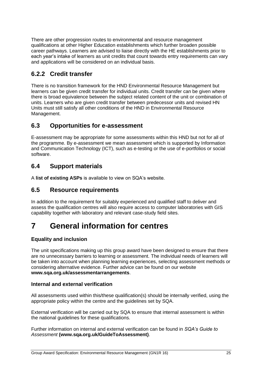There are other progression routes to environmental and resource management qualifications at other Higher Education establishments which further broaden possible career pathways. Learners are advised to liaise directly with the HE establishments prior to each year's intake of learners as unit credits that count towards entry requirements can vary and applications will be considered on an individual basis.

#### **6.2.2 Credit transfer**

There is no transition framework for the HND Environmental Resource Management but learners can be given credit transfer for individual units. Credit transfer can be given where there is broad equivalence between the subject related content of the unit or combination of units. Learners who are given credit transfer between predecessor units and revised HN Units must still satisfy all other conditions of the HND in Environmental Resource Management.

#### <span id="page-26-0"></span>**6.3 Opportunities for e-assessment**

E-assessment may be appropriate for some assessments within this HND but not for all of the programme. By e-assessment we mean assessment which is supported by Information and Communication Technology (ICT), such as e-testing or the use of e-portfolios or social software.

#### <span id="page-26-1"></span>**6.4 Support materials**

A **[list of existing ASPs](http://www.sqa.org.uk/sqa/46233.2769.html)** is available to view on SQA's website.

#### <span id="page-26-2"></span>**6.5 Resource requirements**

In addition to the requirement for suitably experienced and qualified staff to deliver and assess the qualification centres will also require access to computer laboratories with GIS capability together with laboratory and relevant case-study field sites.

### <span id="page-26-3"></span>**7 General information for centres**

#### **Equality and inclusion**

The unit specifications making up this group award have been designed to ensure that there are no unnecessary barriers to learning or assessment. The individual needs of learners will be taken into account when planning learning experiences, selecting assessment methods or considering alternative evidence. Further advice can be found on our website **[www.sqa.org.uk/assessmentarrangements](http://www.sqa.org.uk/sqa/14977.html)**.

#### **Internal and external verification**

All assessments used within this/these qualification(s) should be internally verified, using the appropriate policy within the centre and the guidelines set by SQA.

External verification will be carried out by SQA to ensure that internal assessment is within the national guidelines for these qualifications.

Further information on internal and external verification can be found in *SQA's Guide to Assessment* **[\(www.sqa.org.uk/GuideToAssessment\)](http://www.sqa.org.uk/sqa/files_ccc/GuideToAssessment.pdf)**.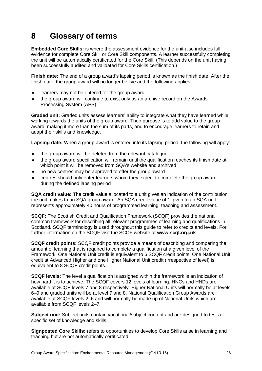# <span id="page-27-0"></span>**8 Glossary of terms**

**Embedded Core Skills:** is where the assessment evidence for the unit also includes full evidence for complete Core Skill or Core Skill components. A learner successfully completing the unit will be automatically certificated for the Core Skill. (This depends on the unit having been successfully audited and validated for Core Skills certification.)

**Finish date:** The end of a group award's lapsing period is known as the finish date. After the finish date, the group award will no longer be live and the following applies:

- ◆ learners may not be entered for the group award
- the group award will continue to exist only as an archive record on the Awards Processing System (APS)

**Graded unit:** Graded units assess learners' ability to integrate what they have learned while working towards the units of the group award. Their purpose is to add value to the group award, making it more than the sum of its parts, and to encourage learners to retain and adapt their skills and knowledge.

**Lapsing date:** When a group award is entered into its lapsing period, the following will apply:

- the group award will be deleted from the relevant catalogue
- the group award specification will remain until the qualification reaches its finish date at which point it will be removed from SQA's website and archived
- no new centres may be approved to offer the group award
- centres should only enter learners whom they expect to complete the group award during the defined lapsing period

**SQA credit value:** The credit value allocated to a unit gives an indication of the contribution the unit makes to an SQA group award. An SQA credit value of 1 given to an SQA unit represents approximately 40 hours of programmed learning, teaching and assessment.

**SCQF:** The Scottish Credit and Qualification Framework (SCQF) provides the national common framework for describing all relevant programmes of learning and qualifications in Scotland. SCQF terminology is used throughout this guide to refer to credits and levels. For further information on the SCQF visit the SCQF website at **[www.scqf.org.uk](http://www.scqf.org.uk/)**.

**SCQF credit points:** SCQF credit points provide a means of describing and comparing the amount of learning that is required to complete a qualification at a given level of the Framework. One National Unit credit is equivalent to 6 SCQF credit points. One National Unit credit at Advanced Higher and one Higher National Unit credit (irrespective of level) is equivalent to 8 SCQF credit points.

**SCQF levels:** The level a qualification is assigned within the framework is an indication of how hard it is to achieve. The SCQF covers 12 levels of learning. HNCs and HNDs are available at SCQF levels 7 and 8 respectively. Higher National Units will normally be at levels 6–9 and graded units will be at level 7 and 8. National Qualification Group Awards are available at SCQF levels 2–6 and will normally be made up of National Units which are available from SCQF levels 2–7.

**Subject unit:** Subject units contain vocational/subject content and are designed to test a specific set of knowledge and skills.

**Signposted Core Skills:** refers to opportunities to develop Core Skills arise in learning and teaching but are not automatically certificated.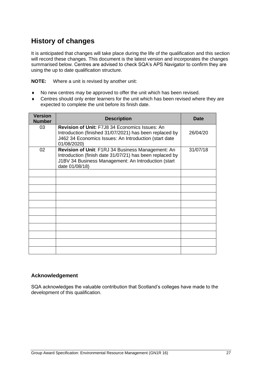### **History of changes**

It is anticipated that changes will take place during the life of the qualification and this section will record these changes. This document is the latest version and incorporates the changes summarised below. Centres are advised to check SQA's APS Navigator to confirm they are using the up to date qualification structure.

**NOTE:** Where a unit is revised by another unit:

- No new centres may be approved to offer the unit which has been revised.
- Centres should only enter learners for the unit which has been revised where they are expected to complete the unit before its finish date.

| <b>Version</b><br><b>Number</b> | <b>Description</b>                                                                                                                                                                       | <b>Date</b> |
|---------------------------------|------------------------------------------------------------------------------------------------------------------------------------------------------------------------------------------|-------------|
| 03                              | <b>Revision of Unit: F7J8 34 Economics Issues: An</b><br>Introduction (finished 31/07/2021) has been replaced by<br>J462 34 Economics Issues: An Introduction (start date<br>01/08/2020) | 26/04/20    |
| 02                              | Revision of Unit: F1RJ 34 Business Management: An<br>Introduction (finish date 31/07/21) has been replaced by<br>J1BV 34 Business Management: An Introduction (start<br>date 01/08/18)   | 31/07/18    |
|                                 |                                                                                                                                                                                          |             |
|                                 |                                                                                                                                                                                          |             |
|                                 |                                                                                                                                                                                          |             |
|                                 |                                                                                                                                                                                          |             |
|                                 |                                                                                                                                                                                          |             |
|                                 |                                                                                                                                                                                          |             |
|                                 |                                                                                                                                                                                          |             |
|                                 |                                                                                                                                                                                          |             |
|                                 |                                                                                                                                                                                          |             |
|                                 |                                                                                                                                                                                          |             |
|                                 |                                                                                                                                                                                          |             |

#### **Acknowledgement**

SQA acknowledges the valuable contribution that Scotland's colleges have made to the development of this qualification.